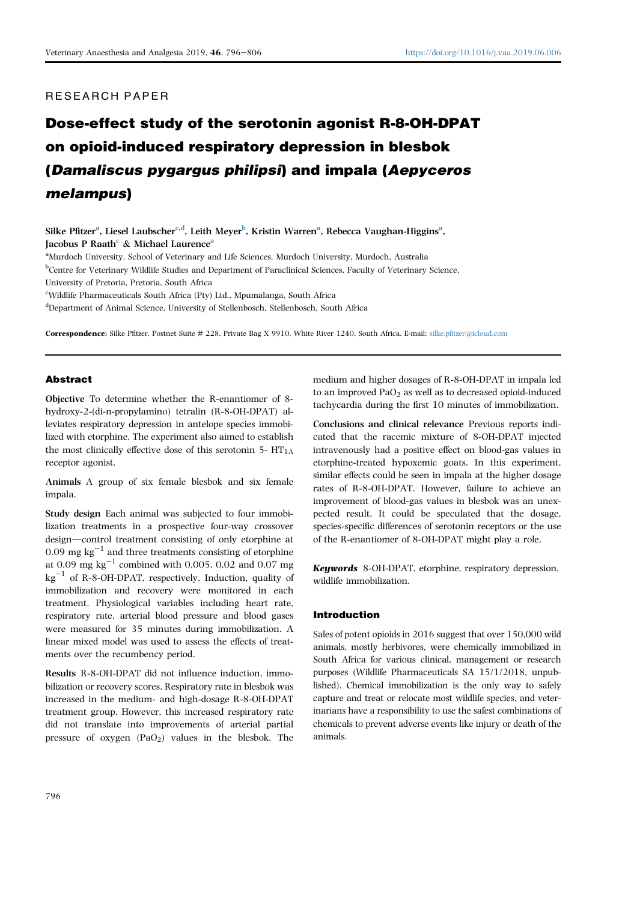# RESEARCH PAPER

# Dose-effect study of the serotonin agonist R-8-OH-DPAT on opioid-induced respiratory depression in blesbok (Damaliscus pygargus philipsi) and impala (Aepyceros melampus)

Silke Pfitzer<sup>a</sup>, Liesel Laubscher<sup>c,d</sup>, Leith Meyer<sup>b</sup>, Kristin Warren<sup>a</sup>, Rebecca Vaughan-Higgins<sup>a</sup>, Jacobus P Raath $^{\rm c}$  & Michael Laurence<sup>a</sup>

<sup>a</sup>Murdoch University, School of Veterinary and Life Sciences, Murdoch University, Murdoch, Australia **bCentre for Veterinary Wildlife Studies and Department of Paraclinical Sciences, Faculty of Veterinary Science,** University of Pretoria, Pretoria, South Africa

<sup>c</sup>Wildlife Pharmaceuticals South Africa (Pty) Ltd., Mpumalanga, South Africa

d Department of Animal Science, University of Stellenbosch, Stellenbosch, South Africa

Correspondence: Silke Pfitzer, Postnet Suite # 228, Private Bag X 9910, White River 1240, South Africa. E-mail: silke.pfitzer@icloud.com

## Abstract

Objective To determine whether the R-enantiomer of 8 hydroxy-2-(di-n-propylamino) tetralin (R-8-OH-DPAT) alleviates respiratory depression in antelope species immobilized with etorphine. The experiment also aimed to establish the most clinically effective dose of this serotonin 5-  $HT<sub>1A</sub>$ receptor agonist.

Animals A group of six female blesbok and six female impala.

Study design Each animal was subjected to four immobilization treatments in a prospective four-way crossover design—control treatment consisting of only etorphine at  $0.09\ \mathrm{mg\ kg^{-1}}$  and three treatments consisting of etorphine at 0.09 mg  $kg^{-1}$  combined with 0.005, 0.02 and 0.07 mg  $kg^{-1}$  of R-8-OH-DPAT, respectively. Induction, quality of immobilization and recovery were monitored in each treatment. Physiological variables including heart rate, respiratory rate, arterial blood pressure and blood gases were measured for 35 minutes during immobilization. A linear mixed model was used to assess the effects of treatments over the recumbency period.

Results R-8-OH-DPAT did not influence induction, immobilization or recovery scores. Respiratory rate in blesbok was increased in the medium- and high-dosage R-8-OH-DPAT treatment group. However, this increased respiratory rate did not translate into improvements of arterial partial pressure of oxygen  $(PaO<sub>2</sub>)$  values in the blesbok. The medium and higher dosages of R-8-OH-DPAT in impala led to an improved  $PaO<sub>2</sub>$  as well as to decreased opioid-induced tachycardia during the first 10 minutes of immobilization.

Conclusions and clinical relevance Previous reports indicated that the racemic mixture of 8-OH-DPAT injected intravenously had a positive effect on blood-gas values in etorphine-treated hypoxemic goats. In this experiment, similar effects could be seen in impala at the higher dosage rates of R-8-OH-DPAT. However, failure to achieve an improvement of blood-gas values in blesbok was an unexpected result. It could be speculated that the dosage, species-specific differences of serotonin receptors or the use of the R-enantiomer of 8-OH-DPAT might play a role.

Keywords 8-OH-DPAT, etorphine, respiratory depression, wildlife immobilization.

#### Introduction

Sales of potent opioids in 2016 suggest that over 150,000 wild animals, mostly herbivores, were chemically immobilized in South Africa for various clinical, management or research purposes (Wildlife Pharmaceuticals SA 15/1/2018, unpublished). Chemical immobilization is the only way to safely capture and treat or relocate most wildlife species, and veterinarians have a responsibility to use the safest combinations of chemicals to prevent adverse events like injury or death of the animals.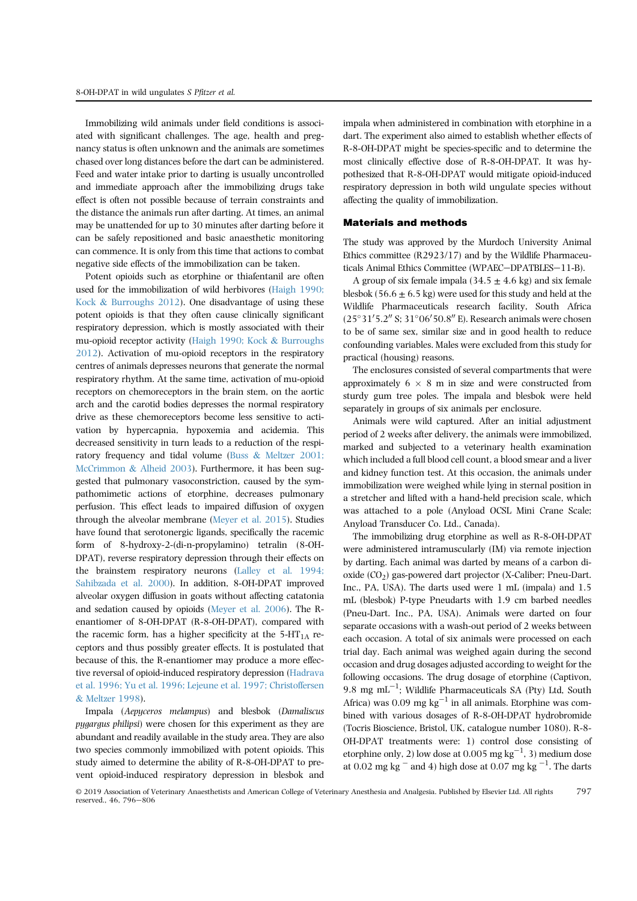Immobilizing wild animals under field conditions is associated with significant challenges. The age, health and pregnancy status is often unknown and the animals are sometimes chased over long distances before the dart can be administered. Feed and water intake prior to darting is usually uncontrolled and immediate approach after the immobilizing drugs take effect is often not possible because of terrain constraints and the distance the animals run after darting. At times, an animal may be unattended for up to 30 minutes after darting before it can be safely repositioned and basic anaesthetic monitoring can commence. It is only from this time that actions to combat negative side effects of the immobilization can be taken.

Potent opioids such as etorphine or thiafentanil are often used for the immobilization of wild herbivores (Haigh 1990; Kock & Burroughs 2012). One disadvantage of using these potent opioids is that they often cause clinically significant respiratory depression, which is mostly associated with their mu-opioid receptor activity (Haigh 1990; Kock & Burroughs 2012). Activation of mu-opioid receptors in the respiratory centres of animals depresses neurons that generate the normal respiratory rhythm. At the same time, activation of mu-opioid receptors on chemoreceptors in the brain stem, on the aortic arch and the carotid bodies depresses the normal respiratory drive as these chemoreceptors become less sensitive to activation by hypercapnia, hypoxemia and acidemia. This decreased sensitivity in turn leads to a reduction of the respiratory frequency and tidal volume (Buss & Meltzer 2001; McCrimmon & Alheid 2003). Furthermore, it has been suggested that pulmonary vasoconstriction, caused by the sympathomimetic actions of etorphine, decreases pulmonary perfusion. This effect leads to impaired diffusion of oxygen through the alveolar membrane (Meyer et al. 2015). Studies have found that serotonergic ligands, specifically the racemic form of 8-hydroxy-2-(di-n-propylamino) tetralin (8-OH-DPAT), reverse respiratory depression through their effects on the brainstem respiratory neurons (Lalley et al. 1994; Sahibzada et al. 2000). In addition, 8-OH-DPAT improved alveolar oxygen diffusion in goats without affecting catatonia and sedation caused by opioids (Meyer et al. 2006). The Renantiomer of 8-OH-DPAT (R-8-OH-DPAT), compared with the racemic form, has a higher specificity at the  $5-HT<sub>1A</sub>$  receptors and thus possibly greater effects. It is postulated that because of this, the R-enantiomer may produce a more effective reversal of opioid-induced respiratory depression (Hadrava et al. 1996; Yu et al. 1996; Lejeune et al. 1997; Christoffersen & Meltzer 1998).

Impala (Aepyceros melampus) and blesbok (Damaliscus pygargus philipsi) were chosen for this experiment as they are abundant and readily available in the study area. They are also two species commonly immobilized with potent opioids. This study aimed to determine the ability of R-8-OH-DPAT to prevent opioid-induced respiratory depression in blesbok and impala when administered in combination with etorphine in a dart. The experiment also aimed to establish whether effects of R-8-OH-DPAT might be species-specific and to determine the most clinically effective dose of R-8-OH-DPAT. It was hypothesized that R-8-OH-DPAT would mitigate opioid-induced respiratory depression in both wild ungulate species without affecting the quality of immobilization.

### Materials and methods

The study was approved by the Murdoch University Animal Ethics committee (R2923/17) and by the Wildlife Pharmaceuticals Animal Ethics Committee (WPAEC-DPATBLES-11-B).

A group of six female impala (34.5  $\pm$  4.6 kg) and six female blesbok (56.6  $\pm$  6.5 kg) were used for this study and held at the Wildlife Pharmaceuticals research facility, South Africa  $(25^{\circ}31'5.2''$  S;  $31^{\circ}06'50.8''$  E). Research animals were chosen to be of same sex, similar size and in good health to reduce confounding variables. Males were excluded from this study for practical (housing) reasons.

The enclosures consisted of several compartments that were approximately  $6 \times 8$  m in size and were constructed from sturdy gum tree poles. The impala and blesbok were held separately in groups of six animals per enclosure.

Animals were wild captured. After an initial adjustment period of 2 weeks after delivery, the animals were immobilized, marked and subjected to a veterinary health examination which included a full blood cell count, a blood smear and a liver and kidney function test. At this occasion, the animals under immobilization were weighed while lying in sternal position in a stretcher and lifted with a hand-held precision scale, which was attached to a pole (Anyload OCSL Mini Crane Scale; Anyload Transducer Co. Ltd., Canada).

The immobilizing drug etorphine as well as R-8-OH-DPAT were administered intramuscularly (IM) via remote injection by darting. Each animal was darted by means of a carbon dioxide (CO2) gas-powered dart projector (X-Caliber; Pneu-Dart. Inc., PA, USA). The darts used were 1 mL (impala) and 1.5 mL (blesbok) P-type Pneudarts with 1.9 cm barbed needles (Pneu-Dart. Inc., PA, USA). Animals were darted on four separate occasions with a wash-out period of 2 weeks between each occasion. A total of six animals were processed on each trial day. Each animal was weighed again during the second occasion and drug dosages adjusted according to weight for the following occasions. The drug dosage of etorphine (Captivon, 9.8 mg mL $^{-1}$ ; Wildlife Pharmaceuticals SA (Pty) Ltd, South Africa) was  $0.09$  mg kg<sup>-1</sup> in all animals. Etorphine was combined with various dosages of R-8-OH-DPAT hydrobromide (Tocris Bioscience, Bristol, UK, catalogue number 1080). R-8- OH-DPAT treatments were: 1) control dose consisting of etorphine only, 2) low dose at 0.005  $\text{mg}\,\text{kg}^{-1}$ , 3) medium dose at 0.02 mg kg  $^-$  and 4) high dose at 0.07 mg kg  $^{-1}$ . The darts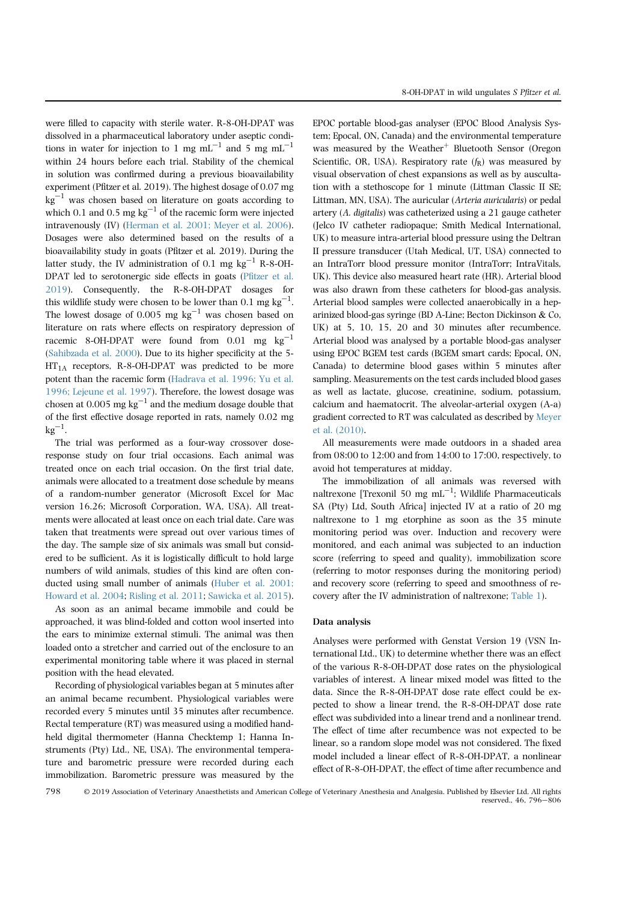were filled to capacity with sterile water. R-8-OH-DPAT was dissolved in a pharmaceutical laboratory under aseptic conditions in water for injection to 1 mg mL<sup>-1</sup> and 5 mg mL<sup>-1</sup> within 24 hours before each trial. Stability of the chemical in solution was confirmed during a previous bioavailability experiment (Pfitzer et al. 2019). The highest dosage of 0.07 mg  $kg^{-1}$  was chosen based on literature on goats according to which 0.1 and 0.5 mg  $kg^{-1}$  of the racemic form were injected intravenously (IV) (Herman et al. 2001; Meyer et al. 2006). Dosages were also determined based on the results of a bioavailability study in goats (Pfitzer et al. 2019). During the latter study, the IV administration of 0.1 mg  $kg^{-1}$  R-8-OH-DPAT led to serotonergic side effects in goats (Pfitzer et al. 2019). Consequently, the R-8-OH-DPAT dosages for this wildlife study were chosen to be lower than 0.1  $\text{mg kg}^{-1}$ . The lowest dosage of 0.005 mg  $kg^{-1}$  was chosen based on literature on rats where effects on respiratory depression of racemic 8-OH-DPAT were found from  $0.01$  mg kg<sup>-1</sup> (Sahibzada et al. 2000). Due to its higher specificity at the 5-  $HT<sub>1A</sub>$  receptors, R-8-OH-DPAT was predicted to be more potent than the racemic form (Hadrava et al. 1996; Yu et al. 1996; Lejeune et al. 1997). Therefore, the lowest dosage was chosen at 0.005 mg  $kg^{-1}$  and the medium dosage double that of the first effective dosage reported in rats, namely 0.02 mg  $kg^{-1}$ .

The trial was performed as a four-way crossover doseresponse study on four trial occasions. Each animal was treated once on each trial occasion. On the first trial date, animals were allocated to a treatment dose schedule by means of a random-number generator (Microsoft Excel for Mac version 16.26; Microsoft Corporation, WA, USA). All treatments were allocated at least once on each trial date. Care was taken that treatments were spread out over various times of the day. The sample size of six animals was small but considered to be sufficient. As it is logistically difficult to hold large numbers of wild animals, studies of this kind are often conducted using small number of animals (Huber et al. 2001; Howard et al. 2004; Risling et al. 2011; Sawicka et al. 2015).

As soon as an animal became immobile and could be approached, it was blind-folded and cotton wool inserted into the ears to minimize external stimuli. The animal was then loaded onto a stretcher and carried out of the enclosure to an experimental monitoring table where it was placed in sternal position with the head elevated.

Recording of physiological variables began at 5 minutes after an animal became recumbent. Physiological variables were recorded every 5 minutes until 35 minutes after recumbence. Rectal temperature (RT) was measured using a modified handheld digital thermometer (Hanna Checktemp 1; Hanna Instruments (Pty) Ltd., NE, USA). The environmental temperature and barometric pressure were recorded during each immobilization. Barometric pressure was measured by the EPOC portable blood-gas analyser (EPOC Blood Analysis System; Epocal, ON, Canada) and the environmental temperature was measured by the Weather<sup>+</sup> Bluetooth Sensor (Oregon Scientific, OR, USA). Respiratory rate  $(f_R)$  was measured by visual observation of chest expansions as well as by auscultation with a stethoscope for 1 minute (Littman Classic II SE; Littman, MN, USA). The auricular (Arteria auricularis) or pedal artery (A. digitalis) was catheterized using a 21 gauge catheter (Jelco IV catheter radiopaque; Smith Medical International, UK) to measure intra-arterial blood pressure using the Deltran II pressure transducer (Utah Medical, UT, USA) connected to an IntraTorr blood pressure monitor (IntraTorr; IntraVitals, UK). This device also measured heart rate (HR). Arterial blood was also drawn from these catheters for blood-gas analysis. Arterial blood samples were collected anaerobically in a heparinized blood-gas syringe (BD A-Line; Becton Dickinson & Co, UK) at 5, 10, 15, 20 and 30 minutes after recumbence. Arterial blood was analysed by a portable blood-gas analyser using EPOC BGEM test cards (BGEM smart cards; Epocal, ON, Canada) to determine blood gases within 5 minutes after sampling. Measurements on the test cards included blood gases as well as lactate, glucose, creatinine, sodium, potassium, calcium and haematocrit. The alveolar-arterial oxygen (A-a) gradient corrected to RT was calculated as described by Meyer et al. (2010).

All measurements were made outdoors in a shaded area from 08:00 to 12:00 and from 14:00 to 17:00, respectively, to avoid hot temperatures at midday.

The immobilization of all animals was reversed with naltrexone [Trexonil 50 mg  $\text{mL}^{-1}$ ; Wildlife Pharmaceuticals SA (Pty) Ltd, South Africa] injected IV at a ratio of 20 mg naltrexone to 1 mg etorphine as soon as the 35 minute monitoring period was over. Induction and recovery were monitored, and each animal was subjected to an induction score (referring to speed and quality), immobilization score (referring to motor responses during the monitoring period) and recovery score (referring to speed and smoothness of recovery after the IV administration of naltrexone; Table 1).

#### Data analysis

Analyses were performed with Genstat Version 19 (VSN International Ltd., UK) to determine whether there was an effect of the various R-8-OH-DPAT dose rates on the physiological variables of interest. A linear mixed model was fitted to the data. Since the R-8-OH-DPAT dose rate effect could be expected to show a linear trend, the R-8-OH-DPAT dose rate effect was subdivided into a linear trend and a nonlinear trend. The effect of time after recumbence was not expected to be linear, so a random slope model was not considered. The fixed model included a linear effect of R-8-OH-DPAT, a nonlinear effect of R-8-OH-DPAT, the effect of time after recumbence and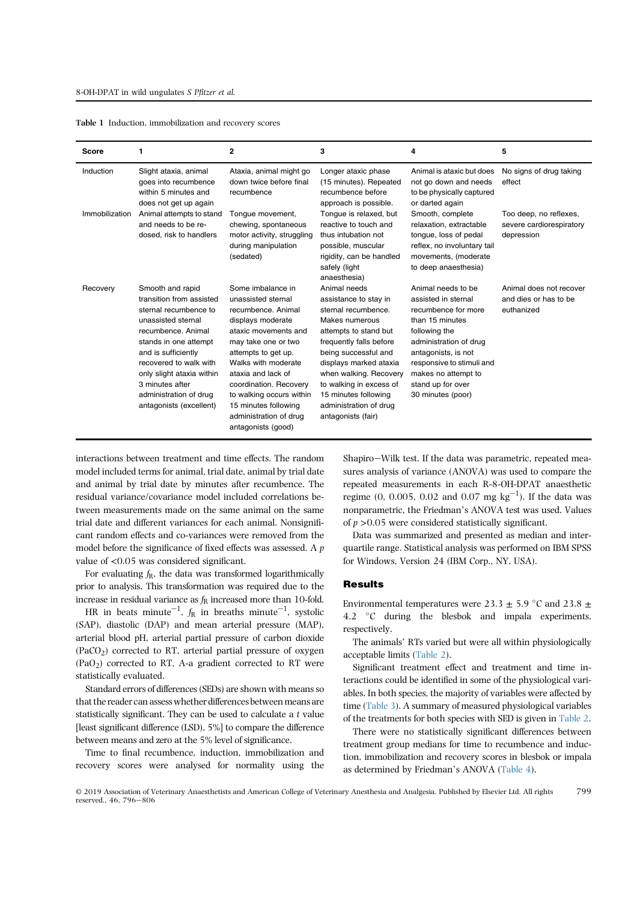| <b>Score</b>   | 1                                                                                                                                                                                                                                                                                                | $\mathbf{2}$                                                                                                                                                                                                                                                                                                                        | 3                                                                                                                                                                                                                                                                                                                 | 4                                                                                                                                                                                                                                                   | 5                                                                |
|----------------|--------------------------------------------------------------------------------------------------------------------------------------------------------------------------------------------------------------------------------------------------------------------------------------------------|-------------------------------------------------------------------------------------------------------------------------------------------------------------------------------------------------------------------------------------------------------------------------------------------------------------------------------------|-------------------------------------------------------------------------------------------------------------------------------------------------------------------------------------------------------------------------------------------------------------------------------------------------------------------|-----------------------------------------------------------------------------------------------------------------------------------------------------------------------------------------------------------------------------------------------------|------------------------------------------------------------------|
| Induction      | Slight ataxia, animal<br>goes into recumbence<br>within 5 minutes and<br>does not get up again                                                                                                                                                                                                   | Ataxia, animal might go<br>down twice before final<br>recumbence                                                                                                                                                                                                                                                                    | Longer ataxic phase<br>(15 minutes). Repeated<br>recumbence before<br>approach is possible.                                                                                                                                                                                                                       | Animal is ataxic but does<br>not go down and needs<br>to be physically captured<br>or darted again                                                                                                                                                  | No signs of drug taking<br>effect                                |
| Immobilization | Animal attempts to stand<br>and needs to be re-<br>dosed, risk to handlers                                                                                                                                                                                                                       | Tonque movement,<br>chewing, spontaneous<br>motor activity, struggling<br>during manipulation<br>(sedated)                                                                                                                                                                                                                          | Tongue is relaxed, but<br>reactive to touch and<br>thus intubation not<br>possible, muscular<br>rigidity, can be handled<br>safely (light<br>anaesthesia)                                                                                                                                                         | Smooth, complete<br>relaxation, extractable<br>tonque, loss of pedal<br>reflex, no involuntary tail<br>movements, (moderate<br>to deep anaesthesia)                                                                                                 | Too deep, no reflexes,<br>severe cardiorespiratory<br>depression |
| Recovery       | Smooth and rapid<br>transition from assisted<br>sternal recumbence to<br>unassisted sternal<br>recumbence. Animal<br>stands in one attempt<br>and is sufficiently<br>recovered to walk with<br>only slight ataxia within<br>3 minutes after<br>administration of drug<br>antagonists (excellent) | Some imbalance in<br>unassisted sternal<br>recumbence. Animal<br>displays moderate<br>ataxic movements and<br>may take one or two<br>attempts to get up.<br>Walks with moderate<br>ataxia and lack of<br>coordination. Recovery<br>to walking occurs within<br>15 minutes following<br>administration of drug<br>antagonists (good) | Animal needs<br>assistance to stay in<br>sternal recumbence.<br>Makes numerous<br>attempts to stand but<br>frequently falls before<br>being successful and<br>displays marked ataxia<br>when walking. Recovery<br>to walking in excess of<br>15 minutes following<br>administration of drug<br>antagonists (fair) | Animal needs to be<br>assisted in sternal<br>recumbence for more<br>than 15 minutes<br>following the<br>administration of drug<br>antagonists, is not<br>responsive to stimuli and<br>makes no attempt to<br>stand up for over<br>30 minutes (poor) | Animal does not recover<br>and dies or has to be<br>euthanized   |

|  |  | Table 1 Induction, immobilization and recovery scores |
|--|--|-------------------------------------------------------|
|--|--|-------------------------------------------------------|

interactions between treatment and time effects. The random model included terms for animal, trial date, animal by trial date and animal by trial date by minutes after recumbence. The residual variance/covariance model included correlations between measurements made on the same animal on the same trial date and different variances for each animal. Nonsignificant random effects and co-variances were removed from the model before the significance of fixed effects was assessed. A p value of <0.05 was considered significant.

For evaluating  $f_R$ , the data was transformed logarithmically prior to analysis. This transformation was required due to the increase in residual variance as  $f_R$  increased more than 10-fold.

HR in beats minute $^{-1}$ ,  $f_{\rm R}$  in breaths minute $^{-1}$ , systolic (SAP), diastolic (DAP) and mean arterial pressure (MAP), arterial blood pH, arterial partial pressure of carbon dioxide  $(PaCO<sub>2</sub>)$  corrected to RT, arterial partial pressure of oxygen  $(PaO<sub>2</sub>)$  corrected to RT, A-a gradient corrected to RT were statistically evaluated.

Standard errors of differences (SEDs) are shown with means so that the reader can assess whether differences between means are statistically significant. They can be used to calculate a t value [least significant difference (LSD), 5%] to compare the difference between means and zero at the 5% level of significance.

Time to final recumbence, induction, immobilization and recovery scores were analysed for normality using the Shapiro-Wilk test. If the data was parametric, repeated measures analysis of variance (ANOVA) was used to compare the repeated measurements in each R-8-OH-DPAT anaesthetic regime (0, 0.005, 0.02 and 0.07 mg  $kg^{-1}$ ). If the data was nonparametric, the Friedman's ANOVA test was used. Values of  $p > 0.05$  were considered statistically significant.

Data was summarized and presented as median and interquartile range. Statistical analysis was performed on IBM SPSS for Windows, Version 24 (IBM Corp., NY, USA).

## Results

Environmental temperatures were 23.3  $\pm$  5.9 °C and 23.8  $\pm$ 4.2  $\degree$ C during the blesbok and impala experiments, respectively.

The animals' RTs varied but were all within physiologically acceptable limits (Table 2).

Significant treatment effect and treatment and time interactions could be identified in some of the physiological variables. In both species, the majority of variables were affected by time (Table 3). A summary of measured physiological variables of the treatments for both species with SED is given in Table 2.

There were no statistically significant differences between treatment group medians for time to recumbence and induction, immobilization and recovery scores in blesbok or impala as determined by Friedman's ANOVA (Table 4).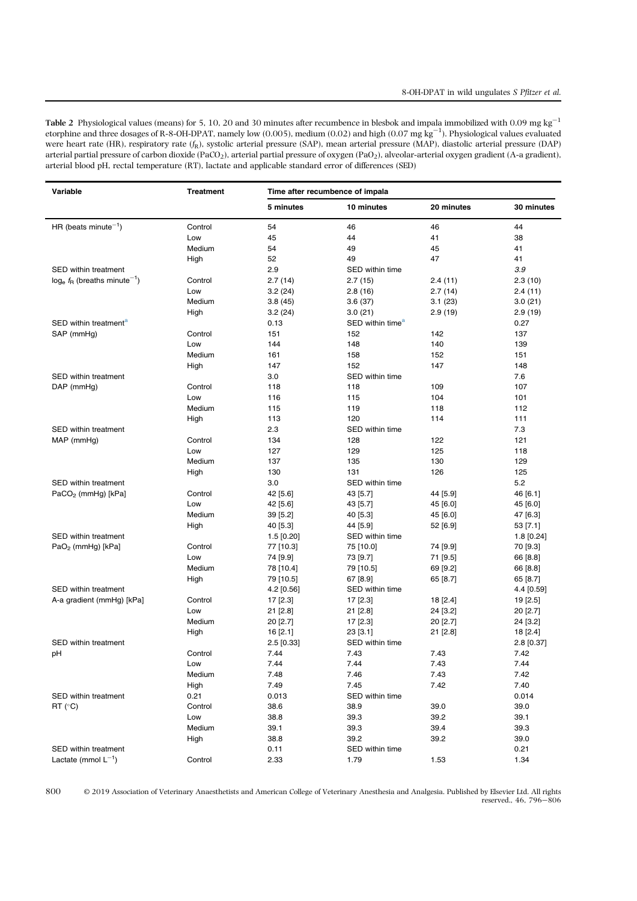Table 2 Physiological values (means) for 5, 10, 20 and 30 minutes after recumbence in blesbok and impala immobilized with 0.09 mg kg<sup>-1</sup> etorphine and three dosages of R-8-OH-DPAT, namely low (0.005), medium (0.02) and high (0.07 mg kg $^{-1}$ ). Physiological values evaluated were heart rate (HR), respiratory rate  $(f_R)$ , systolic arterial pressure (SAP), mean arterial pressure (MAP), diastolic arterial pressure (DAP) arterial partial pressure of carbon dioxide (PaCO<sub>2</sub>), arterial partial pressure of oxygen (PaO<sub>2</sub>), alveolar-arterial oxygen gradient (A-a gradient), arterial blood pH, rectal temperature (RT), lactate and applicable standard error of differences (SED)

l.

| Variable                                      | <b>Treatment</b> | Time after recumbence of impala |                              |            |              |
|-----------------------------------------------|------------------|---------------------------------|------------------------------|------------|--------------|
|                                               |                  | 5 minutes                       | 10 minutes                   | 20 minutes | 30 minutes   |
| HR (beats minute <sup><math>-1</math></sup> ) | Control          | 54                              | 46                           | 46         | 44           |
|                                               | Low              | 45                              | 44                           | 41         | 38           |
|                                               | Medium           | 54                              | 49                           | 45         | 41           |
|                                               | High             | 52                              | 49                           | 47         | 41           |
| <b>SED within treatment</b>                   |                  | 2.9                             | SED within time              |            | 3.9          |
| $log_e f_R$ (breaths minute <sup>-1</sup> )   | Control          | 2.7(14)                         | 2.7(15)                      | 2.4(11)    | 2.3(10)      |
|                                               | Low              | 3.2(24)                         | 2.8(16)                      | 2.7(14)    | 2.4(11)      |
|                                               | Medium           | 3.8(45)                         | 3.6(37)                      | 3.1(23)    | 3.0(21)      |
|                                               | High             | 3.2(24)                         | 3.0(21)                      | 2.9(19)    | 2.9(19)      |
| SED within treatment <sup>a</sup>             |                  | 0.13                            | SED within time <sup>a</sup> |            | 0.27         |
| SAP (mmHg)                                    | Control          | 151                             | 152                          | 142        | 137          |
|                                               | Low              | 144                             | 148                          | 140        | 139          |
|                                               | Medium           | 161                             | 158                          | 152        | 151          |
|                                               | High             | 147                             | 152                          | 147        | 148          |
| <b>SED within treatment</b>                   |                  | 3.0                             | SED within time              |            | 7.6          |
| DAP (mmHg)                                    | Control          | 118                             | 118                          | 109        | 107          |
|                                               | Low              | 116                             | 115                          | 104        | 101          |
|                                               | Medium           | 115                             | 119                          | 118        | 112          |
|                                               | High             | 113                             | 120                          | 114        | 111          |
| SED within treatment                          |                  | 2.3                             | SED within time              |            | 7.3          |
| MAP (mmHg)                                    | Control          | 134                             | 128                          | 122        | 121          |
|                                               | Low              | 127                             | 129                          | 125        | 118          |
|                                               | Medium           | 137                             | 135                          | 130        | 129          |
|                                               | High             | 130                             | 131                          | 126        | 125          |
| SED within treatment                          |                  | 3.0                             | SED within time              |            | 5.2          |
| $PaCO2$ (mmHg) [kPa]                          | Control          | 42 [5.6]                        | 43 [5.7]                     | 44 [5.9]   | 46 [6.1]     |
|                                               | Low              | 42 [5.6]                        | 43 [5.7]                     | 45 [6.0]   | 45 [6.0]     |
|                                               | Medium           | 39 [5.2]                        | 40 [5.3]                     | 45 [6.0]   | 47 [6.3]     |
|                                               | High             | 40 [5.3]                        | 44 [5.9]                     | 52 [6.9]   | 53 [7.1]     |
| SED within treatment                          |                  | $1.5$ [0.20]                    | SED within time              |            | $1.8$ [0.24] |
| $PaO2$ (mmHg) [kPa]                           | Control          | 77 [10.3]                       | 75 [10.0]                    | 74 [9.9]   | 70 [9.3]     |
|                                               | Low              | 74 [9.9]                        | 73 [9.7]                     | 71 [9.5]   | 66 [8.8]     |
|                                               | Medium           | 78 [10.4]                       | 79 [10.5]                    | 69 [9.2]   | 66 [8.8]     |
|                                               | High             | 79 [10.5]                       | 67 [8.9]                     | 65 [8.7]   | 65 [8.7]     |
| SED within treatment                          |                  | 4.2 [0.56]                      | SED within time              |            | 4.4 [0.59]   |
| A-a gradient (mmHg) [kPa]                     | Control          | 17 [2.3]                        | 17 [2.3]                     | 18 [2.4]   | 19 [2.5]     |
|                                               | Low              | 21 [2.8]                        | 21 [2.8]                     | 24 [3.2]   | 20 [2.7]     |
|                                               | Medium           | 20 [2.7]                        | 17 [2.3]                     | 20 [2.7]   | 24 [3.2]     |
|                                               | High             | 16 [2.1]                        | 23 [3.1]                     | 21 [2.8]   | 18 [2.4]     |
| <b>SED within treatment</b>                   |                  | 2.5 [0.33]                      | SED within time              |            | 2.8 [0.37]   |
| рH                                            | Control          | 7.44                            | 7.43                         | 7.43       | 7.42         |
|                                               | Low              | 7.44                            | 7.44                         | 7.43       | 7.44         |
|                                               | Medium           | 7.48                            | 7.46                         | 7.43       | 7.42         |
|                                               | High             | 7.49                            | 7.45                         | 7.42       | 7.40         |
| SED within treatment                          | 0.21             | 0.013                           | SED within time              |            | 0.014        |
| $RT(^{\circ}C)$                               | Control          | 38.6                            | 38.9                         | 39.0       | 39.0         |
|                                               | Low              | 38.8                            | 39.3                         | 39.2       | 39.1         |
|                                               | Medium           | 39.1                            | 39.3                         | 39.4       | 39.3         |
|                                               | High             | 38.8                            | 39.2                         | 39.2       | 39.0         |
| SED within treatment                          |                  | 0.11                            | SED within time              |            | 0.21         |
| Lactate (mmol $L^{-1}$ )                      | Control          | 2.33                            | 1.79                         | 1.53       | 1.34         |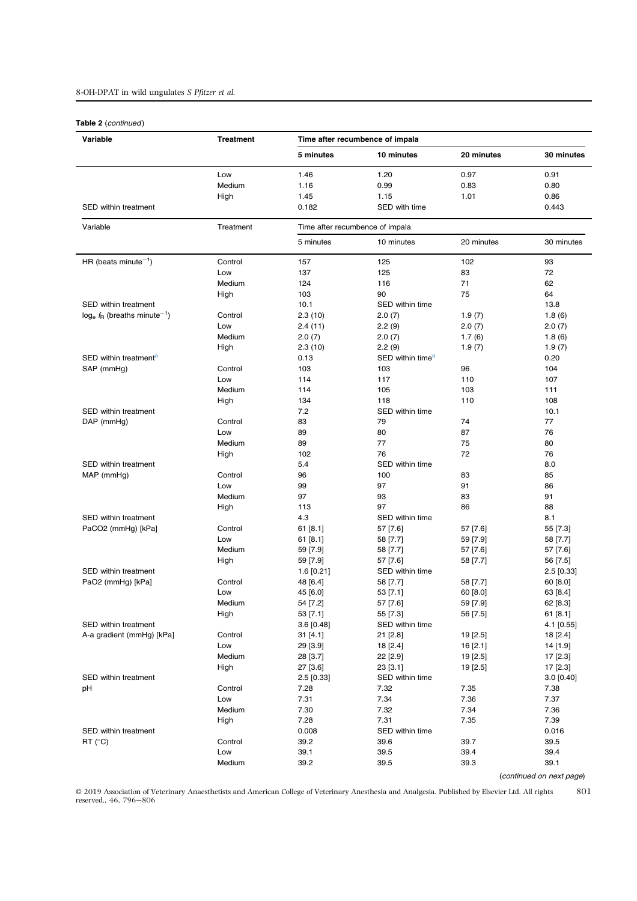# 8-OH-DPAT in wild ungulates S Pfitzer et al.

## Table 2 (continued)

| Variable                                    | <b>Treatment</b> | Time after recumbence of impala |                              |            |              |
|---------------------------------------------|------------------|---------------------------------|------------------------------|------------|--------------|
|                                             |                  | 5 minutes                       | 10 minutes                   | 20 minutes | 30 minutes   |
|                                             | Low              | 1.46                            | 1.20                         | 0.97       | 0.91         |
|                                             | Medium           | 1.16                            | 0.99                         | 0.83       | 0.80         |
|                                             | High             | 1.45                            | 1.15                         | 1.01       | 0.86         |
| SED within treatment                        |                  | 0.182                           | SED with time                |            | 0.443        |
| Variable                                    | Treatment        | Time after recumbence of impala |                              |            |              |
|                                             |                  | 5 minutes                       | 10 minutes                   | 20 minutes | 30 minutes   |
| HR (beats minute $^{-1}$ )                  | Control          | 157                             | 125                          | 102        | 93           |
|                                             | Low              | 137                             | 125                          | 83         | 72           |
|                                             | Medium           | 124                             | 116                          | 71         | 62           |
|                                             | High             | 103                             | 90                           | 75         | 64           |
| SED within treatment                        |                  | 10.1                            | SED within time              |            | 13.8         |
| $log_e f_R$ (breaths minute <sup>-1</sup> ) | Control          | 2.3(10)                         | 2.0(7)                       | 1.9(7)     | 1.8(6)       |
|                                             | Low              | 2.4(11)                         | 2.2(9)                       | 2.0(7)     | 2.0(7)       |
|                                             | Medium           | 2.0(7)                          | 2.0(7)                       | 1.7(6)     | 1.8(6)       |
|                                             | High             | 2.3(10)                         | 2.2(9)                       | 1.9(7)     | 1.9(7)       |
| SED within treatment <sup>a</sup>           |                  | 0.13                            | SED within time <sup>a</sup> |            | 0.20         |
| SAP (mmHg)                                  | Control          | 103                             | 103                          | 96         | 104          |
|                                             | Low              | 114                             | 117                          | 110        | 107          |
|                                             | Medium           | 114                             | 105                          | 103        | 111          |
|                                             | High             | 134                             | 118                          | 110        | 108          |
| SED within treatment                        |                  | 7.2                             | SED within time              |            | 10.1         |
| DAP (mmHg)                                  | Control          | 83                              | 79                           | 74         | 77           |
|                                             | Low              | 89                              | 80                           | 87         | 76           |
|                                             | Medium           | 89                              | 77                           | 75         | 80           |
|                                             | High             | 102                             | 76                           | 72         | 76           |
| SED within treatment                        |                  | 5.4                             | SED within time              |            | 8.0          |
| MAP (mmHg)                                  | Control          | 96                              | 100                          | 83         | 85           |
|                                             | Low              | 99                              | 97                           | 91         | 86           |
|                                             | Medium           | 97                              | 93                           | 83         | 91           |
|                                             | High             | 113                             | 97                           | 86         | 88           |
|                                             |                  |                                 |                              |            |              |
| SED within treatment                        |                  | 4.3                             | SED within time              |            | 8.1          |
| PaCO2 (mmHg) [kPa]                          | Control          | 61[8.1]                         | 57 [7.6]                     | 57 [7.6]   | 55 [7.3]     |
|                                             | Low              | 61[8.1]                         | 58 [7.7]                     | 59 [7.9]   | 58 [7.7]     |
|                                             | Medium           | 59 [7.9]                        | 58 [7.7]                     | 57 [7.6]   | 57 [7.6]     |
|                                             | High             | 59 [7.9]                        | 57 [7.6]                     | 58 [7.7]   | 56 [7.5]     |
| <b>SED within treatment</b>                 |                  | $1.6$ [0.21]                    | SED within time              |            | $2.5$ [0.33] |
| PaO2 (mmHg) [kPa]                           | Control          | 48 [6.4]                        | 58 [7.7]                     | 58 [7.7]   | 60 [8.0]     |
|                                             | Low              | 45 [6.0]                        | 53 [7.1]                     | 60 [8.0]   | 63 [8.4]     |
|                                             | Medium           | 54 [7.2]                        | 57 [7.6]                     | 59 [7.9]   | 62 [8.3]     |
|                                             | High             | 53 [7.1]                        | 55 [7.3]                     | 56 [7.5]   | 61[8.1]      |
| SED within treatment                        |                  | 3.6 [0.48]                      | SED within time              |            | 4.1 [0.55]   |
| A-a gradient (mmHg) [kPa]                   | Control          | 31 [4.1]                        | 21 [2.8]                     | 19 [2.5]   | 18 [2.4]     |
|                                             | Low              | 29 [3.9]                        | 18 [2.4]                     | 16[2.1]    | 14 [1.9]     |
|                                             | Medium           | 28 [3.7]                        | 22 [2.9]                     | 19 [2.5]   | 17 [2.3]     |
|                                             | High             | 27 [3.6]                        | 23 [3.1]                     | 19 [2.5]   | $17$ [2.3]   |
| SED within treatment                        |                  | 2.5 [0.33]                      | SED within time              |            | $3.0$ [0.40] |
| pH                                          | Control          | 7.28                            | 7.32                         | 7.35       | 7.38         |
|                                             | Low              | 7.31                            | 7.34                         | 7.36       | 7.37         |
|                                             | Medium           | 7.30                            | 7.32                         | 7.34       | 7.36         |
|                                             | High             | 7.28                            | 7.31                         | 7.35       | 7.39         |
| SED within treatment                        |                  | 0.008                           | SED within time              |            | 0.016        |
| $RT$ ( $°C$ )                               | Control          | 39.2                            | 39.6                         | 39.7       | 39.5         |
|                                             | Low              | 39.1                            | 39.5                         | 39.4       | 39.4         |
|                                             | Medium           | 39.2                            | 39.5                         | 39.3       | 39.1         |
|                                             |                  |                                 |                              |            |              |

(continued on next page)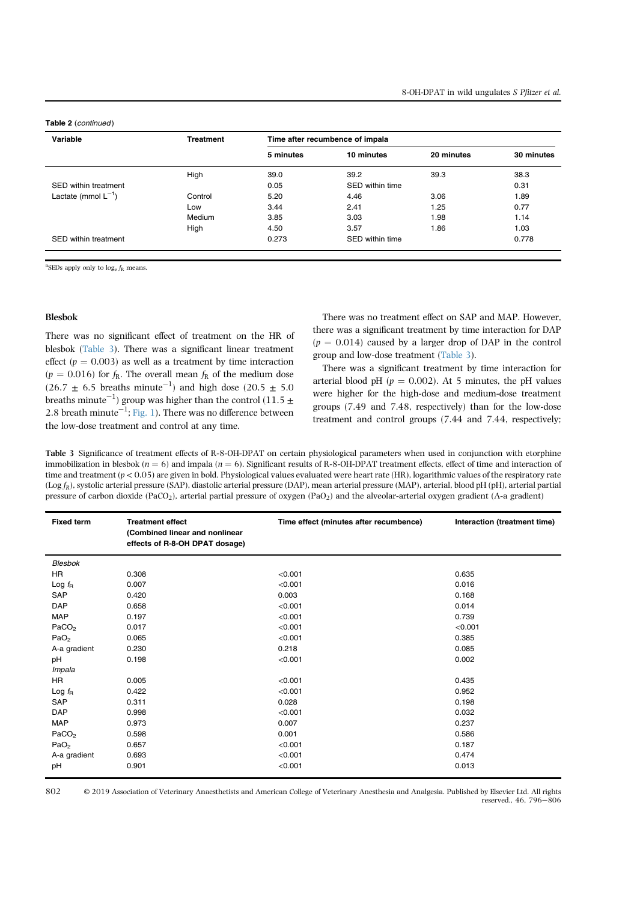#### Table 2 (continued)

| Variable                 | <b>Treatment</b> | Time after recumbence of impala |                 |            |            |
|--------------------------|------------------|---------------------------------|-----------------|------------|------------|
|                          |                  | 5 minutes                       | 10 minutes      | 20 minutes | 30 minutes |
|                          | High             | 39.0                            | 39.2            | 39.3       | 38.3       |
| SED within treatment     |                  | 0.05                            | SED within time |            | 0.31       |
| Lactate (mmol $L^{-1}$ ) | Control          | 5.20                            | 4.46            | 3.06       | 1.89       |
|                          | Low              | 3.44                            | 2.41            | 1.25       | 0.77       |
|                          | Medium           | 3.85                            | 3.03            | 1.98       | 1.14       |
|                          | High             | 4.50                            | 3.57            | 1.86       | 1.03       |
| SED within treatment     |                  | 0.273                           | SED within time |            | 0.778      |

<sup>a</sup>SEDs apply only to  $log_e f_R$  means.

#### Blesbok

There was no significant effect of treatment on the HR of blesbok (Table 3). There was a significant linear treatment effect ( $p = 0.003$ ) as well as a treatment by time interaction  $(p = 0.016)$  for  $f_R$ . The overall mean  $f_R$  of the medium dose  $(26.7 \pm 6.5 \text{ breaths minute}^{-1})$  and high dose  $(20.5 \pm 5.0 \text{ cents}^{-1})$ breaths minute $^{-1})$  group was higher than the control (11.5  $\pm$ 2.8 breath minute $^{-1}$ ; Fig. 1). There was no difference between the low-dose treatment and control at any time.

There was no treatment effect on SAP and MAP. However, there was a significant treatment by time interaction for DAP  $(p = 0.014)$  caused by a larger drop of DAP in the control group and low-dose treatment (Table 3).

There was a significant treatment by time interaction for arterial blood pH ( $p = 0.002$ ). At 5 minutes, the pH values were higher for the high-dose and medium-dose treatment groups (7.49 and 7.48, respectively) than for the low-dose treatment and control groups (7.44 and 7.44, respectively;

Table 3 Significance of treatment effects of R-8-OH-DPAT on certain physiological parameters when used in conjunction with etorphine immobilization in blesbok ( $n = 6$ ) and impala ( $n = 6$ ). Significant results of R-8-OH-DPAT treatment effects, effect of time and interaction of time and treatment  $(p < 0.05)$  are given in bold. Physiological values evaluated were heart rate (HR), logarithmic values of the respiratory rate  $(Log f_R)$ , systolic arterial pressure (SAP), diastolic arterial pressure (DAP), mean arterial pressure (MAP), arterial, blood pH (pH), arterial partial pressure of carbon dioxide (PaCO<sub>2</sub>), arterial partial pressure of oxygen (PaO<sub>2</sub>) and the alveolar-arterial oxygen gradient (A-a gradient)

| <b>Fixed term</b> | <b>Treatment effect</b><br>(Combined linear and nonlinear<br>effects of R-8-OH DPAT dosage) | Time effect (minutes after recumbence) | Interaction (treatment time) |
|-------------------|---------------------------------------------------------------------------------------------|----------------------------------------|------------------------------|
| Blesbok           |                                                                                             |                                        |                              |
| <b>HR</b>         | 0.308                                                                                       | < 0.001                                | 0.635                        |
| Log $f_{\rm R}$   | 0.007                                                                                       | < 0.001                                | 0.016                        |
| <b>SAP</b>        | 0.420                                                                                       | 0.003                                  | 0.168                        |
| <b>DAP</b>        | 0.658                                                                                       | < 0.001                                | 0.014                        |
| <b>MAP</b>        | 0.197                                                                                       | < 0.001                                | 0.739                        |
| PaCO <sub>2</sub> | 0.017                                                                                       | < 0.001                                | < 0.001                      |
| PaO <sub>2</sub>  | 0.065                                                                                       | < 0.001                                | 0.385                        |
| A-a gradient      | 0.230                                                                                       | 0.218                                  | 0.085                        |
| pH                | 0.198                                                                                       | < 0.001                                | 0.002                        |
| Impala            |                                                                                             |                                        |                              |
| <b>HR</b>         | 0.005                                                                                       | < 0.001                                | 0.435                        |
| Log $f_{\rm R}$   | 0.422                                                                                       | < 0.001                                | 0.952                        |
| <b>SAP</b>        | 0.311                                                                                       | 0.028                                  | 0.198                        |
| <b>DAP</b>        | 0.998                                                                                       | < 0.001                                | 0.032                        |
| <b>MAP</b>        | 0.973                                                                                       | 0.007                                  | 0.237                        |
| PaCO <sub>2</sub> | 0.598                                                                                       | 0.001                                  | 0.586                        |
| PaO <sub>2</sub>  | 0.657                                                                                       | < 0.001                                | 0.187                        |
| A-a gradient      | 0.693                                                                                       | < 0.001                                | 0.474                        |
| pH                | 0.901                                                                                       | < 0.001                                | 0.013                        |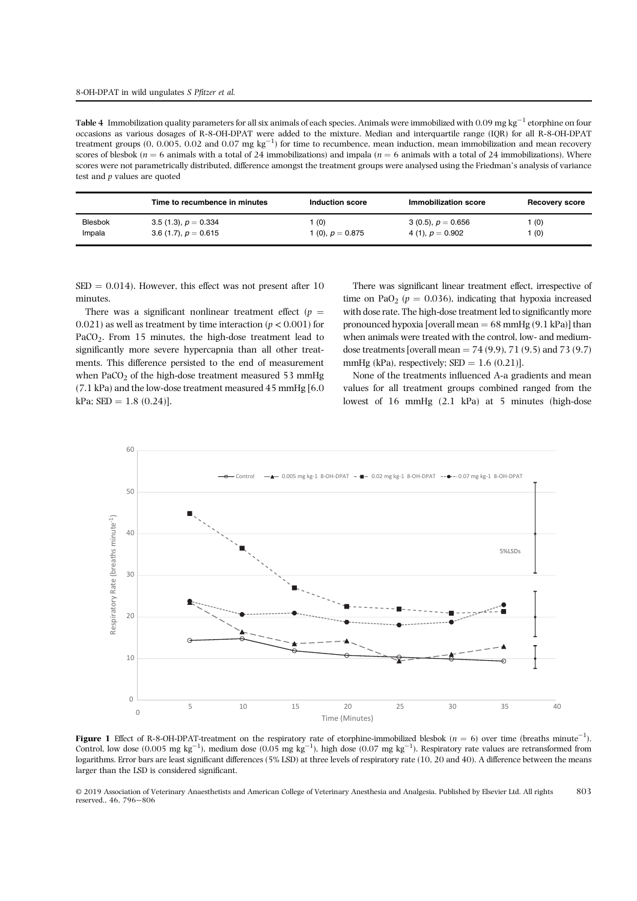Table 4 Immobilization quality parameters for all six animals of each species. Animals were immobilized with  $0.09$  mg kg<sup>-1</sup> etorphine on four occasions as various dosages of R-8-OH-DPAT were added to the mixture. Median and interquartile range (IQR) for all R-8-OH-DPAT treatment groups (0, 0.005, 0.02 and 0.07 mg  $\text{kg}^{-1}$ ) for time to recumbence, mean induction, mean immobilization and mean recovery scores of blesbok ( $n = 6$  animals with a total of 24 immobilizations) and impala ( $n = 6$  animals with a total of 24 immobilizations). Where scores were not parametrically distributed, difference amongst the treatment groups were analysed using the Friedman's analysis of variance test and p values are quoted

|                | Time to recumbence in minutes | Induction score    | Immobilization score | Recovery score |
|----------------|-------------------------------|--------------------|----------------------|----------------|
| <b>Blesbok</b> | $3.5(1.3), p = 0.334$         | (0)                | 3 (0.5), $p = 0.656$ | 1 (0)          |
| Impala         | 3.6 (1.7), $p = 0.615$        | 1 (0), $p = 0.875$ | 4 (1), $p = 0.902$   | 1(0)           |

 $\text{SED} = 0.014$ ). However, this effect was not present after 10 minutes.

There was a significant nonlinear treatment effect ( $p =$  $0.021$ ) as well as treatment by time interaction ( $p < 0.001$ ) for PaCO<sub>2</sub>. From 15 minutes, the high-dose treatment lead to significantly more severe hypercapnia than all other treatments. This difference persisted to the end of measurement when PaCO<sub>2</sub> of the high-dose treatment measured  $53$  mmHg (7.1 kPa) and the low-dose treatment measured 45 mmHg [6.0  $kPa$ ; SED = 1.8 (0.24)].

There was significant linear treatment effect, irrespective of time on PaO<sub>2</sub> ( $p = 0.036$ ), indicating that hypoxia increased with dose rate. The high-dose treatment led to significantly more pronounced hypoxia [overall mean  $= 68$  mmHg (9.1 kPa)] than when animals were treated with the control, low- and mediumdose treatments [overall mean =  $74 (9.9)$ ,  $71 (9.5)$  and  $73 (9.7)$ mmHg (kPa), respectively;  $\text{SED} = 1.6$  (0.21)].

None of the treatments influenced A-a gradients and mean values for all treatment groups combined ranged from the lowest of 16 mmHg (2.1 kPa) at 5 minutes (high-dose



**Figure 1** Effect of R-8-OH-DPAT-treatment on the respiratory rate of etorphine-immobilized blesbok ( $n = 6$ ) over time (breaths minute<sup>-1</sup>). Control, low dose  $(0.005 \text{ mg kg}^{-1})$ , medium dose  $(0.05 \text{ mg kg}^{-1})$ , high dose  $(0.07 \text{ mg kg}^{-1})$ . Respiratory rate values are retransformed from logarithms. Error bars are least significant differences (5% LSD) at three levels of respiratory rate (10, 20 and 40). A difference between the means larger than the LSD is considered significant.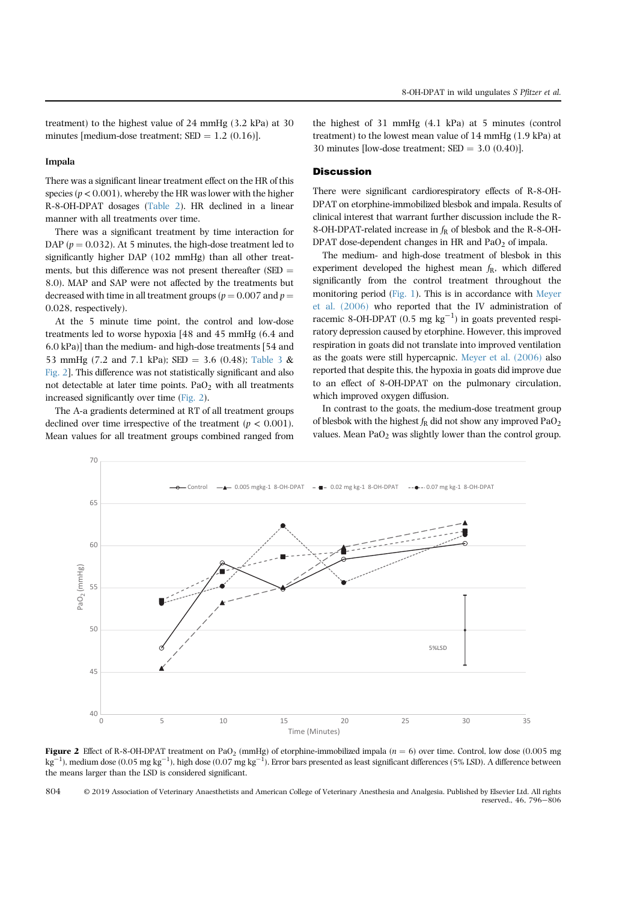#### Impala

There was a significant linear treatment effect on the HR of this species ( $p < 0.001$ ), whereby the HR was lower with the higher R-8-OH-DPAT dosages (Table 2). HR declined in a linear manner with all treatments over time.

There was a significant treatment by time interaction for DAP ( $p = 0.032$ ). At 5 minutes, the high-dose treatment led to significantly higher DAP (102 mmHg) than all other treatments, but this difference was not present thereafter  $(SED =$ 8.0). MAP and SAP were not affected by the treatments but decreased with time in all treatment groups ( $p = 0.007$  and  $p =$ 0.028, respectively).

At the 5 minute time point, the control and low-dose treatments led to worse hypoxia [48 and 45 mmHg (6.4 and 6.0 kPa)] than the medium- and high-dose treatments [54 and 53 mmHg (7.2 and 7.1 kPa); SED = 3.6 (0.48); Table 3  $\&$ Fig. 2]. This difference was not statistically significant and also not detectable at later time points. PaO<sub>2</sub> with all treatments increased significantly over time (Fig. 2).

The A-a gradients determined at RT of all treatment groups declined over time irrespective of the treatment ( $p < 0.001$ ). Mean values for all treatment groups combined ranged from

the highest of 31 mmHg (4.1 kPa) at 5 minutes (control treatment) to the lowest mean value of 14 mmHg (1.9 kPa) at 30 minutes [low-dose treatment;  $\text{SED} = 3.0$  (0.40)].

## **Discussion**

There were significant cardiorespiratory effects of R-8-OH-DPAT on etorphine-immobilized blesbok and impala. Results of clinical interest that warrant further discussion include the R-8-OH-DPAT-related increase in  $f_R$  of blesbok and the R-8-OH-DPAT dose-dependent changes in HR and PaO<sub>2</sub> of impala.

The medium- and high-dose treatment of blesbok in this experiment developed the highest mean  $f_R$ , which differed significantly from the control treatment throughout the monitoring period (Fig. 1). This is in accordance with Meyer et al. (2006) who reported that the IV administration of racemic 8-OH-DPAT (0.5 mg  $kg^{-1}$ ) in goats prevented respiratory depression caused by etorphine. However, this improved respiration in goats did not translate into improved ventilation as the goats were still hypercapnic. Meyer et al. (2006) also reported that despite this, the hypoxia in goats did improve due to an effect of 8-OH-DPAT on the pulmonary circulation, which improved oxygen diffusion.

In contrast to the goats, the medium-dose treatment group of blesbok with the highest  $f_R$  did not show any improved PaO<sub>2</sub> values. Mean  $PaO<sub>2</sub>$  was slightly lower than the control group.



Figure 2 Effect of R-8-OH-DPAT treatment on PaO<sub>2</sub> (mmHg) of etorphine-immobilized impala ( $n = 6$ ) over time. Control, low dose (0.005 mg)  $k\sigma$ <sup>-</sup> ), medium dose (0.05 mg kg<sup>-1</sup>), high dose (0.07 mg kg<sup>-1</sup>). Error bars presented as least significant differences (5% LSD). A difference between the means larger than the LSD is considered significant.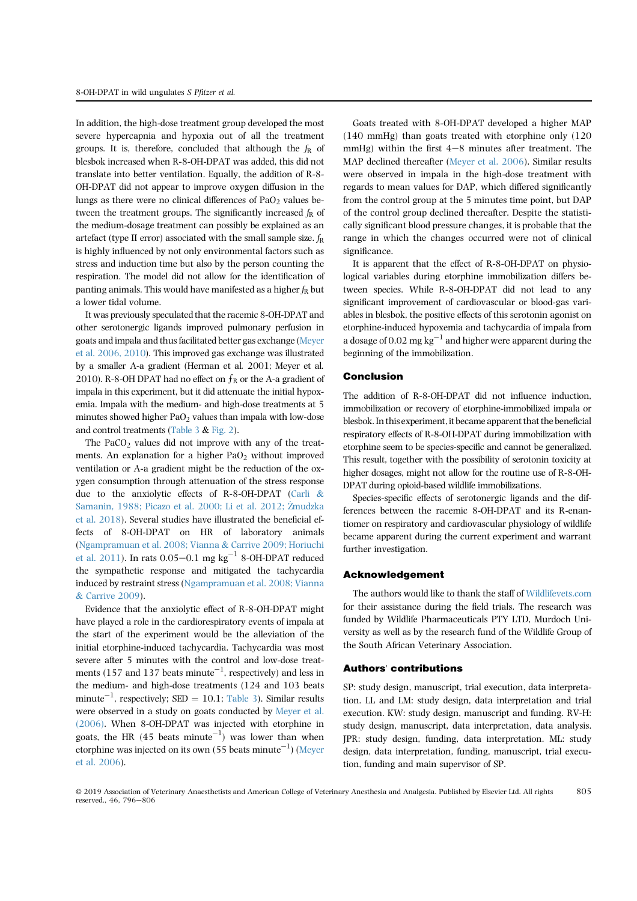In addition, the high-dose treatment group developed the most severe hypercapnia and hypoxia out of all the treatment groups. It is, therefore, concluded that although the  $f_R$  of blesbok increased when R-8-OH-DPAT was added, this did not translate into better ventilation. Equally, the addition of R-8- OH-DPAT did not appear to improve oxygen diffusion in the lungs as there were no clinical differences of  $PaO<sub>2</sub>$  values between the treatment groups. The significantly increased  $f<sub>R</sub>$  of the medium-dosage treatment can possibly be explained as an artefact (type II error) associated with the small sample size.  $f_R$ is highly influenced by not only environmental factors such as stress and induction time but also by the person counting the respiration. The model did not allow for the identification of panting animals. This would have manifested as a higher  $f_{\rm R}$  but a lower tidal volume.

It was previously speculated that the racemic 8-OH-DPAT and other serotonergic ligands improved pulmonary perfusion in goats and impala and thus facilitated better gas exchange (Meyer et al. 2006, 2010). This improved gas exchange was illustrated by a smaller A-a gradient (Herman et al. 2001; Meyer et al. 2010). R-8-OH DPAT had no effect on  $f_R$  or the A-a gradient of impala in this experiment, but it did attenuate the initial hypoxemia. Impala with the medium- and high-dose treatments at 5 minutes showed higher PaO<sub>2</sub> values than impala with low-dose and control treatments (Table  $3 &$  Fig. 2).

The PaCO<sub>2</sub> values did not improve with any of the treatments. An explanation for a higher  $PaO<sub>2</sub>$  without improved ventilation or A-a gradient might be the reduction of the oxygen consumption through attenuation of the stress response due to the anxiolytic effects of R-8-OH-DPAT (Carli & Samanin, 1988; Picazo et al. 2000; Li et al. 2012; Zmudzka \_ et al. 2018). Several studies have illustrated the beneficial effects of 8-OH-DPAT on HR of laboratory animals (Ngampramuan et al. 2008; Vianna & Carrive 2009; Horiuchi et al. 2011). In rats  $0.05-0.1$  mg kg<sup>-1</sup> 8-OH-DPAT reduced the sympathetic response and mitigated the tachycardia induced by restraint stress (Ngampramuan et al. 2008; Vianna & Carrive 2009).

Evidence that the anxiolytic effect of R-8-OH-DPAT might have played a role in the cardiorespiratory events of impala at the start of the experiment would be the alleviation of the initial etorphine-induced tachycardia. Tachycardia was most severe after 5 minutes with the control and low-dose treatments (157 and 137 beats minute<sup>-1</sup>, respectively) and less in the medium- and high-dose treatments (124 and 103 beats minute<sup>-1</sup>, respectively; SED = 10.1; Table 3). Similar results were observed in a study on goats conducted by Meyer et al. (2006). When 8-OH-DPAT was injected with etorphine in goats, the HR (45 beats minute<sup> $-1$ </sup>) was lower than when etorphine was injected on its own (55 beats minute $^{\rm -1})$  (Meyer et al. 2006).

Goats treated with 8-OH-DPAT developed a higher MAP (140 mmHg) than goats treated with etorphine only (120 mmHg) within the first  $4-8$  minutes after treatment. The MAP declined thereafter (Meyer et al. 2006). Similar results were observed in impala in the high-dose treatment with regards to mean values for DAP, which differed significantly from the control group at the 5 minutes time point, but DAP of the control group declined thereafter. Despite the statistically significant blood pressure changes, it is probable that the range in which the changes occurred were not of clinical significance.

It is apparent that the effect of R-8-OH-DPAT on physiological variables during etorphine immobilization differs between species. While R-8-OH-DPAT did not lead to any significant improvement of cardiovascular or blood-gas variables in blesbok, the positive effects of this serotonin agonist on etorphine-induced hypoxemia and tachycardia of impala from a dosage of 0.02 mg  $kg^{-1}$  and higher were apparent during the beginning of the immobilization.

#### Conclusion

The addition of R-8-OH-DPAT did not influence induction, immobilization or recovery of etorphine-immobilized impala or blesbok. In this experiment, it became apparent that the beneficial respiratory effects of R-8-OH-DPAT during immobilization with etorphine seem to be species-specific and cannot be generalized. This result, together with the possibility of serotonin toxicity at higher dosages, might not allow for the routine use of R-8-OH-DPAT during opioid-based wildlife immobilizations.

Species-specific effects of serotonergic ligands and the differences between the racemic 8-OH-DPAT and its R-enantiomer on respiratory and cardiovascular physiology of wildlife became apparent during the current experiment and warrant further investigation.

#### Acknowledgement

The authors would like to thank the staff of Wildlifevets.com for their assistance during the field trials. The research was funded by Wildlife Pharmaceuticals PTY LTD, Murdoch University as well as by the research fund of the Wildlife Group of the South African Veterinary Association.

#### Authors' contributions

SP: study design, manuscript, trial execution, data interpretation. LL and LM: study design, data interpretation and trial execution. KW: study design, manuscript and funding. RV-H: study design, manuscript, data interpretation, data analysis. JPR: study design, funding, data interpretation. ML: study design, data interpretation, funding, manuscript, trial execution, funding and main supervisor of SP.